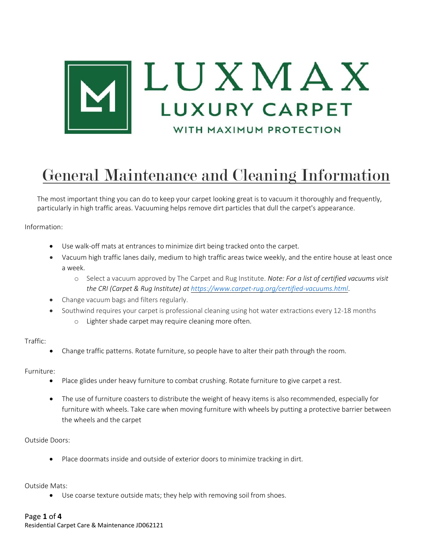

# General Maintenance and Cleaning Information

The most important thing you can do to keep your carpet looking great is to vacuum it thoroughly and frequently, particularly in high traffic areas. Vacuuming helps remove dirt particles that dull the carpet's appearance.

Information:

- Use walk-off mats at entrances to minimize dirt being tracked onto the carpet.
- Vacuum high traffic lanes daily, medium to high traffic areas twice weekly, and the entire house at least once a week.
	- o Select a vacuum approved by The Carpet and Rug Institute. *Note: For a list of certified vacuums visit the CRI (Carpet & Rug Institute) at <https://www.carpet-rug.org/certified-vacuums.html>*.
- Change vacuum bags and filters regularly.
- Southwind requires your carpet is professional cleaning using hot water extractions every 12-18 months
	- o Lighter shade carpet may require cleaning more often.

Traffic:

• Change traffic patterns. Rotate furniture, so people have to alter their path through the room.

Furniture:

- Place glides under heavy furniture to combat crushing. Rotate furniture to give carpet a rest.
- The use of furniture coasters to distribute the weight of heavy items is also recommended, especially for furniture with wheels. Take care when moving furniture with wheels by putting a protective barrier between the wheels and the carpet

Outside Doors:

• Place doormats inside and outside of exterior doors to minimize tracking in dirt.

Outside Mats:

• Use coarse texture outside mats; they help with removing soil from shoes.

Residential Carpet Care & Maintenance JD062121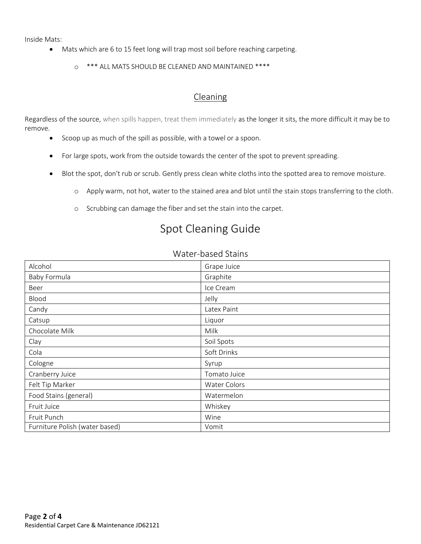Inside Mats:

- Mats which are 6 to 15 feet long will trap most soil before reaching carpeting.
	- o \*\*\* ALL MATS SHOULD BE CLEANED AND MAINTAINED \*\*\*\*

### Cleaning

Regardless of the source, when spills happen, treat them immediately as the longer it sits, the more difficult it may be to remove.

- Scoop up as much of the spill as possible, with a towel or a spoon.
- For large spots, work from the outside towards the center of the spot to prevent spreading.
- Blot the spot, don't rub or scrub. Gently press clean white cloths into the spotted area to remove moisture.
	- o Apply warm, not hot, water to the stained area and blot until the stain stops transferring to the cloth.
	- o Scrubbing can damage the fiber and set the stain into the carpet.

# Spot Cleaning Guide

| Water-based Stains |  |
|--------------------|--|
|--------------------|--|

| Alcohol                        | Grape Juice  |
|--------------------------------|--------------|
| Baby Formula                   | Graphite     |
| Beer                           | Ice Cream    |
| Blood                          | Jelly        |
| Candy                          | Latex Paint  |
| Catsup                         | Liquor       |
| Chocolate Milk                 | Milk         |
| Clay                           | Soil Spots   |
| Cola                           | Soft Drinks  |
| Cologne                        | Syrup        |
| Cranberry Juice                | Tomato Juice |
| Felt Tip Marker                | Water Colors |
| Food Stains (general)          | Watermelon   |
| Fruit Juice                    | Whiskey      |
| Fruit Punch                    | Wine         |
| Furniture Polish (water based) | Vomit        |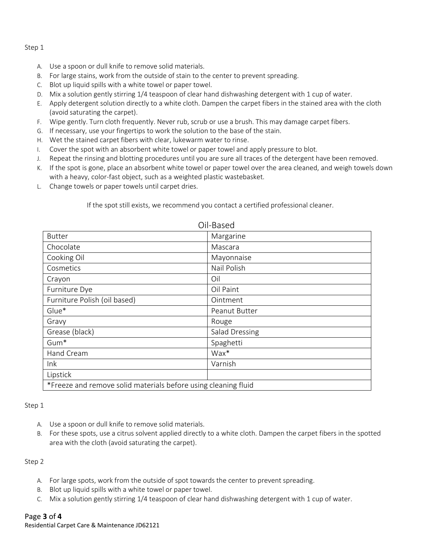#### Step 1

- A. Use a spoon or dull knife to remove solid materials.
- B. For large stains, work from the outside of stain to the center to prevent spreading.
- C. Blot up liquid spills with a white towel or paper towel.
- D. Mix a solution gently stirring 1/4 teaspoon of clear hand dishwashing detergent with 1 cup of water.
- E. Apply detergent solution directly to a white cloth. Dampen the carpet fibers in the stained area with the cloth (avoid saturating the carpet).
- F. Wipe gently. Turn cloth frequently. Never rub, scrub or use a brush. This may damage carpet fibers.
- G. If necessary, use your fingertips to work the solution to the base of the stain.
- H. Wet the stained carpet fibers with clear, lukewarm water to rinse.
- I. Cover the spot with an absorbent white towel or paper towel and apply pressure to blot.
- J. Repeat the rinsing and blotting procedures until you are sure all traces of the detergent have been removed.
- K. If the spot is gone, place an absorbent white towel or paper towel over the area cleaned, and weigh towels down with a heavy, color-fast object, such as a weighted plastic wastebasket.
- L. Change towels or paper towels until carpet dries.

If the spot still exists, we recommend you contact a certified professional cleaner.

| UII-DdSCU                                                      |                |  |
|----------------------------------------------------------------|----------------|--|
| <b>Butter</b>                                                  | Margarine      |  |
| Chocolate                                                      | Mascara        |  |
| Cooking Oil                                                    | Mayonnaise     |  |
| Cosmetics                                                      | Nail Polish    |  |
| Crayon                                                         | Oil            |  |
| Furniture Dye                                                  | Oil Paint      |  |
| Furniture Polish (oil based)                                   | Ointment       |  |
| Glue*                                                          | Peanut Butter  |  |
| Gravy                                                          | Rouge          |  |
| Grease (black)                                                 | Salad Dressing |  |
| Gum <sup>*</sup>                                               | Spaghetti      |  |
| Hand Cream                                                     | Wax*           |  |
| Ink                                                            | Varnish        |  |
| Lipstick                                                       |                |  |
| *Freeze and remove solid materials before using cleaning fluid |                |  |

#### Oil-Based

#### Step 1

- A. Use a spoon or dull knife to remove solid materials.
- B. For these spots, use a citrus solvent applied directly to a white cloth. Dampen the carpet fibers in the spotted area with the cloth (avoid saturating the carpet).

#### Step 2

- A. For large spots, work from the outside of spot towards the center to prevent spreading.
- B. Blot up liquid spills with a white towel or paper towel.
- C. Mix a solution gently stirring 1/4 teaspoon of clear hand dishwashing detergent with 1 cup of water.

#### Page **3** of **4**

Residential Carpet Care & Maintenance JD62121